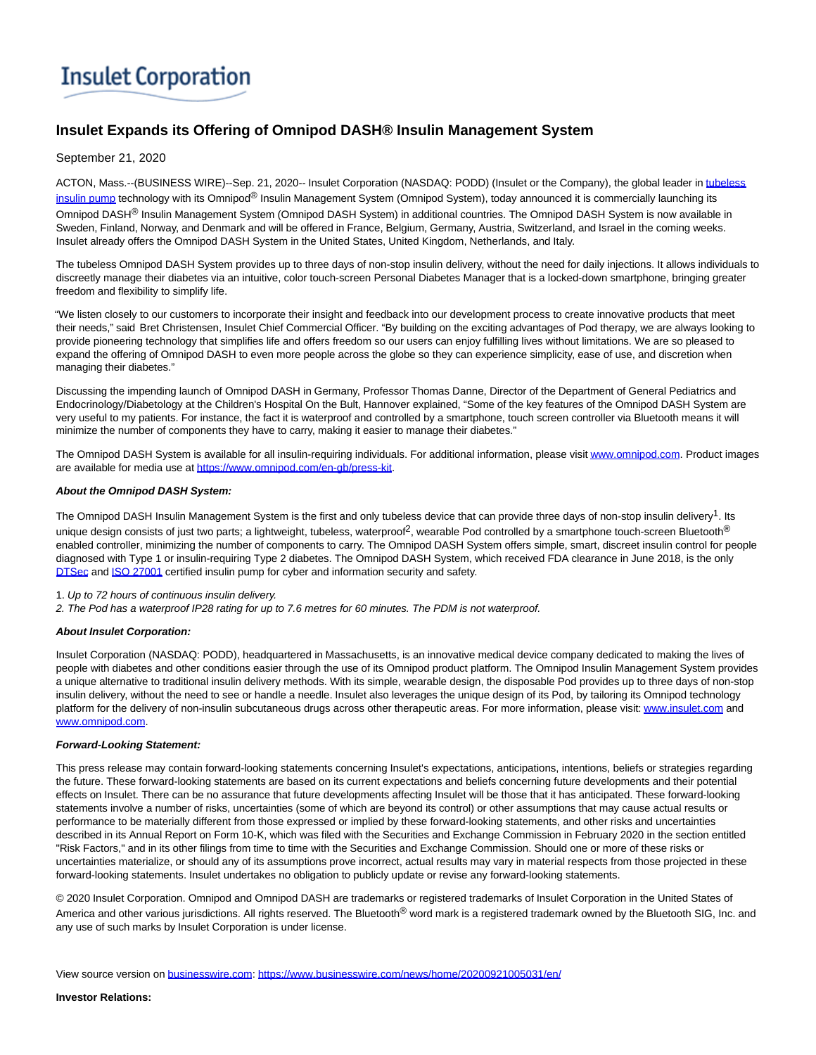# **Insulet Corporation**

## **Insulet Expands its Offering of Omnipod DASH® Insulin Management System**

#### September 21, 2020

ACTON, Mass.--(BUSINESS WIRE)--Sep. 21, 2020-- Insulet Corporation (NASDAQ: PODD) (Insulet or the Company), the global leader in [tubeless](https://cts.businesswire.com/ct/CT?id=smartlink&url=https%3A%2F%2Fwww.myomnipod.com%2Fhome&esheet=52289348&newsitemid=20200921005031&lan=en-US&anchor=tubeless+insulin+pump&index=1&md5=5f54bd964529d0ffc3bd24d85fec3a1a) insulin pump technology with its Omnipod® Insulin Management System (Omnipod System), today announced it is commercially launching its Omnipod DASH<sup>®</sup> Insulin Management System (Omnipod DASH System) in additional countries. The Omnipod DASH System is now available in Sweden, Finland, Norway, and Denmark and will be offered in France, Belgium, Germany, Austria, Switzerland, and Israel in the coming weeks. Insulet already offers the Omnipod DASH System in the United States, United Kingdom, Netherlands, and Italy.

The tubeless Omnipod DASH System provides up to three days of non-stop insulin delivery, without the need for daily injections. It allows individuals to discreetly manage their diabetes via an intuitive, color touch-screen Personal Diabetes Manager that is a locked-down smartphone, bringing greater freedom and flexibility to simplify life.

"We listen closely to our customers to incorporate their insight and feedback into our development process to create innovative products that meet their needs," said Bret Christensen, Insulet Chief Commercial Officer. "By building on the exciting advantages of Pod therapy, we are always looking to provide pioneering technology that simplifies life and offers freedom so our users can enjoy fulfilling lives without limitations. We are so pleased to expand the offering of Omnipod DASH to even more people across the globe so they can experience simplicity, ease of use, and discretion when managing their diabetes."

Discussing the impending launch of Omnipod DASH in Germany, Professor Thomas Danne, Director of the Department of General Pediatrics and Endocrinology/Diabetology at the Children's Hospital On the Bult, Hannover explained, "Some of the key features of the Omnipod DASH System are very useful to my patients. For instance, the fact it is waterproof and controlled by a smartphone, touch screen controller via Bluetooth means it will minimize the number of components they have to carry, making it easier to manage their diabetes."

The Omnipod DASH System is available for all insulin-requiring individuals. For additional information, please visi[t www.omnipod.com.](https://cts.businesswire.com/ct/CT?id=smartlink&url=http%3A%2F%2Fwww.omnipod.com&esheet=52289348&newsitemid=20200921005031&lan=en-US&anchor=www.omnipod.com&index=2&md5=b8c6ed7b1ef41e3ec20e6e781d1f0bc6) Product images are available for media use at [https://www.omnipod.com/en-gb/press-kit.](https://cts.businesswire.com/ct/CT?id=smartlink&url=https%3A%2F%2Fwww.omnipod.com%2Fen-gb%2Fpress-kit&esheet=52289348&newsitemid=20200921005031&lan=en-US&anchor=https%3A%2F%2Fwww.omnipod.com%2Fen-gb%2Fpress-kit&index=3&md5=6260735ead0e5ab3a02a6af0b4c7f09f)

#### **About the Omnipod DASH System:**

The Omnipod DASH Insulin Management System is the first and only tubeless device that can provide three days of non-stop insulin delivery<sup>1</sup>. Its unique design consists of just two parts; a lightweight, tubeless, waterproof<sup>2</sup>, wearable Pod controlled by a smartphone touch-screen Bluetooth<sup>®</sup> enabled controller, minimizing the number of components to carry. The Omnipod DASH System offers simple, smart, discreet insulin control for people diagnosed with Type 1 or insulin-requiring Type 2 diabetes. The Omnipod DASH System, which received FDA clearance in June 2018, is the only [DTSec a](https://cts.businesswire.com/ct/CT?id=smartlink&url=https%3A%2F%2Fwww.diabetestechnology.org%2Fdtsec.shtml%3Fver%3D4&esheet=52289348&newsitemid=20200921005031&lan=en-US&anchor=DTSec&index=4&md5=7e0ceb6753ced78ad893a599916352eb)nd [ISO 27001 c](https://cts.businesswire.com/ct/CT?id=smartlink&url=http%3A%2F%2Finvestor.insulet.com%2Fnews-releases%2Fnews-release-details%2Finsulets-omnipod-dashtm-insulin-management-system-receives-iso&esheet=52289348&newsitemid=20200921005031&lan=en-US&anchor=ISO+27001&index=5&md5=7dbc9172d9212affd5973b88285a059d)ertified insulin pump for cyber and information security and safety.

1. Up to 72 hours of continuous insulin delivery.

2. The Pod has a waterproof IP28 rating for up to 7.6 metres for 60 minutes. The PDM is not waterproof.

#### **About Insulet Corporation:**

Insulet Corporation (NASDAQ: PODD), headquartered in Massachusetts, is an innovative medical device company dedicated to making the lives of people with diabetes and other conditions easier through the use of its Omnipod product platform. The Omnipod Insulin Management System provides a unique alternative to traditional insulin delivery methods. With its simple, wearable design, the disposable Pod provides up to three days of non-stop insulin delivery, without the need to see or handle a needle. Insulet also leverages the unique design of its Pod, by tailoring its Omnipod technology platform for the delivery of non-insulin subcutaneous drugs across other therapeutic areas. For more information, please visit[: www.insulet.com a](https://cts.businesswire.com/ct/CT?id=smartlink&url=http%3A%2F%2Fwww.insulet.com&esheet=52289348&newsitemid=20200921005031&lan=en-US&anchor=www.insulet.com&index=6&md5=cb82a190acc38fd820b1867cd42f4b83)nd [www.omnipod.com.](https://cts.businesswire.com/ct/CT?id=smartlink&url=http%3A%2F%2Fwww.omnipod.com&esheet=52289348&newsitemid=20200921005031&lan=en-US&anchor=www.omnipod.com&index=7&md5=e9f84b46becb350cef805cc0b14e8935)

### **Forward-Looking Statement:**

This press release may contain forward-looking statements concerning Insulet's expectations, anticipations, intentions, beliefs or strategies regarding the future. These forward-looking statements are based on its current expectations and beliefs concerning future developments and their potential effects on Insulet. There can be no assurance that future developments affecting Insulet will be those that it has anticipated. These forward-looking statements involve a number of risks, uncertainties (some of which are beyond its control) or other assumptions that may cause actual results or performance to be materially different from those expressed or implied by these forward-looking statements, and other risks and uncertainties described in its Annual Report on Form 10-K, which was filed with the Securities and Exchange Commission in February 2020 in the section entitled "Risk Factors," and in its other filings from time to time with the Securities and Exchange Commission. Should one or more of these risks or uncertainties materialize, or should any of its assumptions prove incorrect, actual results may vary in material respects from those projected in these forward-looking statements. Insulet undertakes no obligation to publicly update or revise any forward-looking statements.

© 2020 Insulet Corporation. Omnipod and Omnipod DASH are trademarks or registered trademarks of Insulet Corporation in the United States of America and other various jurisdictions. All rights reserved. The Bluetooth® word mark is a registered trademark owned by the Bluetooth SIG, Inc. and any use of such marks by Insulet Corporation is under license.

View source version on [businesswire.com:](http://businesswire.com/)<https://www.businesswire.com/news/home/20200921005031/en/>

#### **Investor Relations:**